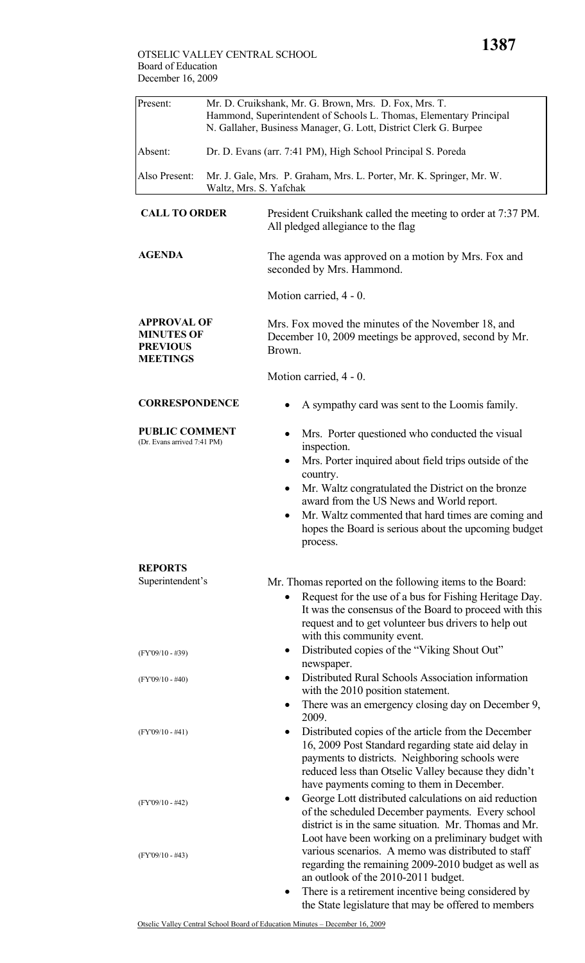| Present:             | Mr. D. Cruikshank, Mr. G. Brown, Mrs. D. Fox, Mrs. T.<br>Hammond, Superintendent of Schools L. Thomas, Elementary Principal<br>N. Gallaher, Business Manager, G. Lott, District Clerk G. Burpee |
|----------------------|-------------------------------------------------------------------------------------------------------------------------------------------------------------------------------------------------|
| Absent:              | Dr. D. Evans (arr. 7:41 PM), High School Principal S. Poreda                                                                                                                                    |
| Also Present:        | Mr. J. Gale, Mrs. P. Graham, Mrs. L. Porter, Mr. K. Springer, Mr. W.<br>Waltz, Mrs. S. Yafchak                                                                                                  |
| <b>CALL TO ORDER</b> | President Cruikshank called the meeting to order at 7:37 PM.                                                                                                                                    |

**AGENDA** The agenda was approved on a motion by Mrs. Fox and seconded by Mrs. Hammond.

All pledged allegiance to the flag

Motion carried, 4 - 0.

**APPROVAL OF MINUTES OF PREVIOUS MEETINGS**  Mrs. Fox moved the minutes of the November 18, and December 10, 2009 meetings be approved, second by Mr. Brown.

Motion carried, 4 - 0.

## **CORRESPONDENCE** • A sympathy card was sent to the Loomis family.

**PUBLIC COMMENT** (Dr. Evans arrived 7:41 PM)

- Mrs. Porter questioned who conducted the visual
- inspection. • Mrs. Porter inquired about field trips outside of the country.
- Mr. Waltz congratulated the District on the bronze award from the US News and World report.
- Mr. Waltz commented that hard times are coming and hopes the Board is serious about the upcoming budget process.

#### **REPORTS**

| Superintendent's   | Mr. Thomas reported on the following items to the Board:                                                                                                                                                                                                                |
|--------------------|-------------------------------------------------------------------------------------------------------------------------------------------------------------------------------------------------------------------------------------------------------------------------|
|                    | Request for the use of a bus for Fishing Heritage Day.<br>$\bullet$<br>It was the consensus of the Board to proceed with this<br>request and to get volunteer bus drivers to help out<br>with this community event.                                                     |
| $(FY'09/10 - #39)$ | Distributed copies of the "Viking Shout Out"<br>٠<br>newspaper.                                                                                                                                                                                                         |
| $(FY'09/10 - #40)$ | Distributed Rural Schools Association information<br>$\bullet$<br>with the 2010 position statement.                                                                                                                                                                     |
|                    | There was an emergency closing day on December 9,<br>2009.                                                                                                                                                                                                              |
| $(FY'09/10 - #41)$ | Distributed copies of the article from the December<br>٠<br>16, 2009 Post Standard regarding state aid delay in<br>payments to districts. Neighboring schools were<br>reduced less than Otselic Valley because they didn't<br>have payments coming to them in December. |
| $(FY'09/10 - #42)$ | George Lott distributed calculations on aid reduction<br>$\bullet$<br>of the scheduled December payments. Every school<br>district is in the same situation. Mr. Thomas and Mr.<br>Loot have been working on a preliminary budget with                                  |
| $(FY'09/10 - #43)$ | various scenarios. A memo was distributed to staff<br>regarding the remaining 2009-2010 budget as well as<br>an outlook of the 2010-2011 budget.                                                                                                                        |
|                    | There is a retirement incentive being considered by<br>$\bullet$<br>the State legislature that may be offered to members                                                                                                                                                |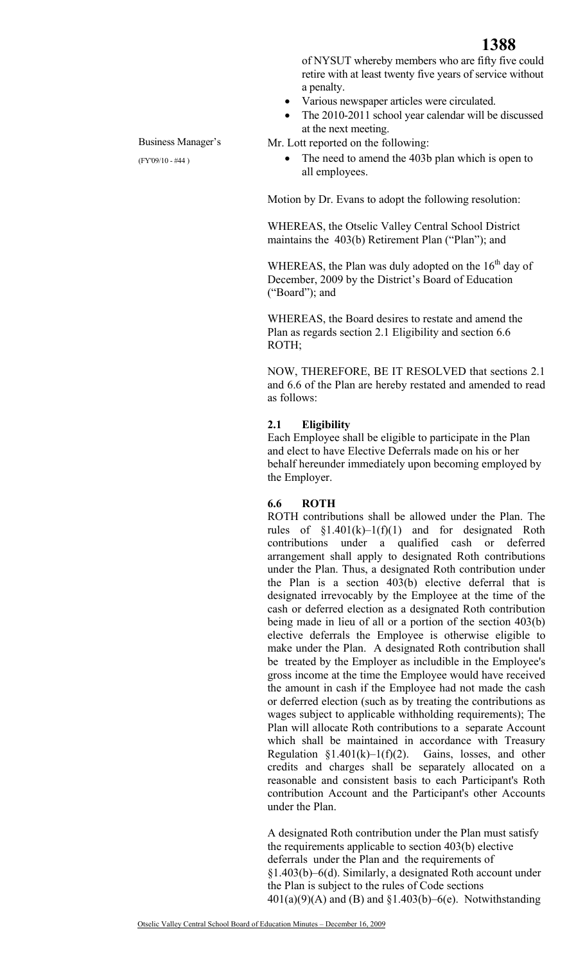

of NYSUT whereby members who are fifty five could retire with at least twenty five years of service without a penalty.

- Various newspaper articles were circulated.
- The 2010-2011 school year calendar will be discussed at the next meeting.

Mr. Lott reported on the following:

Business Manager's (FY'09/10 - #44 )

The need to amend the 403b plan which is open to all employees.

Motion by Dr. Evans to adopt the following resolution:

WHEREAS, the Otselic Valley Central School District maintains the 403(b) Retirement Plan ("Plan"); and

WHEREAS, the Plan was duly adopted on the  $16<sup>th</sup>$  day of December, 2009 by the District's Board of Education ("Board"); and

WHEREAS, the Board desires to restate and amend the Plan as regards section 2.1 Eligibility and section 6.6 ROTH;

NOW, THEREFORE, BE IT RESOLVED that sections 2.1 and 6.6 of the Plan are hereby restated and amended to read as follows:

#### **2.1 Eligibility**

Each Employee shall be eligible to participate in the Plan and elect to have Elective Deferrals made on his or her behalf hereunder immediately upon becoming employed by the Employer.

#### **6.6 ROTH**

ROTH contributions shall be allowed under the Plan. The rules of  $\S1.401(k)-1(f)(1)$  and for designated Roth contributions under a qualified cash or deferred arrangement shall apply to designated Roth contributions under the Plan. Thus, a designated Roth contribution under the Plan is a section 403(b) elective deferral that is designated irrevocably by the Employee at the time of the cash or deferred election as a designated Roth contribution being made in lieu of all or a portion of the section 403(b) elective deferrals the Employee is otherwise eligible to make under the Plan. A designated Roth contribution shall be treated by the Employer as includible in the Employee's gross income at the time the Employee would have received the amount in cash if the Employee had not made the cash or deferred election (such as by treating the contributions as wages subject to applicable withholding requirements); The Plan will allocate Roth contributions to a separate Account which shall be maintained in accordance with Treasury Regulation  $\S1.401(k)-1(f)(2)$ . Gains, losses, and other credits and charges shall be separately allocated on a reasonable and consistent basis to each Participant's Roth contribution Account and the Participant's other Accounts under the Plan.

A designated Roth contribution under the Plan must satisfy the requirements applicable to section 403(b) elective deferrals under the Plan and the requirements of §1.403(b)–6(d). Similarly, a designated Roth account under the Plan is subject to the rules of Code sections  $401(a)(9)(A)$  and (B) and §1.403(b)–6(e). Notwithstanding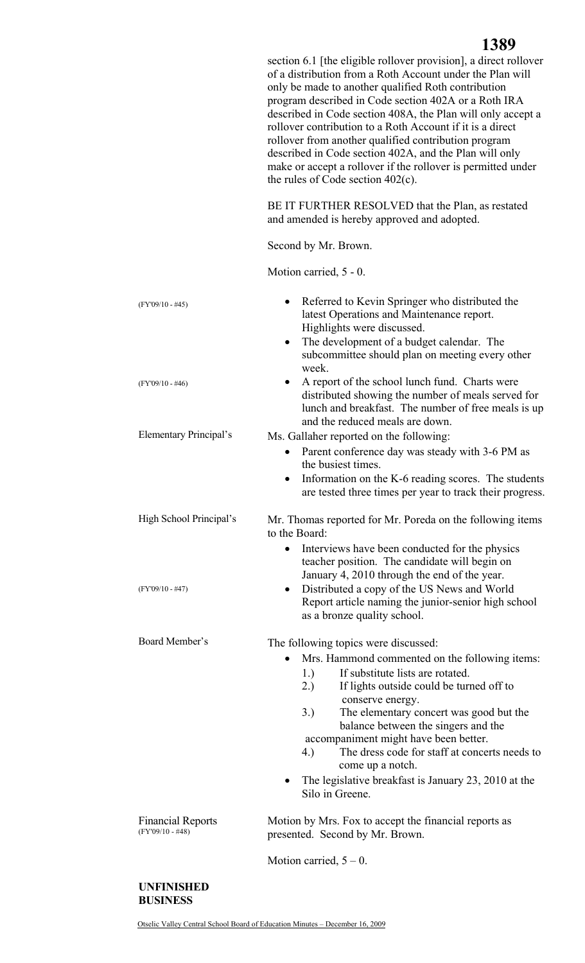section 6.1 [the eligible rollover provision], a direct rollover of a distribution from a Roth Account under the Plan will only be made to another qualified Roth contribution program described in Code section 402A or a Roth IRA described in Code section 408A, the Plan will only accept a rollover contribution to a Roth Account if it is a direct rollover from another qualified contribution program described in Code section 402A, and the Plan will only make or accept a rollover if the rollover is permitted under the rules of Code section 402(c).

BE IT FURTHER RESOLVED that the Plan, as restated and amended is hereby approved and adopted.

Second by Mr. Brown.

Motion carried, 5 - 0.

| $(FY'09/10 - #45)$<br>$(FY'09/10 - #46)$       | Referred to Kevin Springer who distributed the<br>latest Operations and Maintenance report.<br>Highlights were discussed.<br>The development of a budget calendar. The<br>٠<br>subcommittee should plan on meeting every other<br>week.<br>A report of the school lunch fund. Charts were<br>٠<br>distributed showing the number of meals served for<br>lunch and breakfast. The number of free meals is up<br>and the reduced meals are down.                                                                |
|------------------------------------------------|---------------------------------------------------------------------------------------------------------------------------------------------------------------------------------------------------------------------------------------------------------------------------------------------------------------------------------------------------------------------------------------------------------------------------------------------------------------------------------------------------------------|
| <b>Elementary Principal's</b>                  | Ms. Gallaher reported on the following:<br>Parent conference day was steady with 3-6 PM as<br>the busiest times.<br>Information on the K-6 reading scores. The students<br>are tested three times per year to track their progress.                                                                                                                                                                                                                                                                           |
| High School Principal's<br>$(FY'09/10 - #47)$  | Mr. Thomas reported for Mr. Poreda on the following items<br>to the Board:<br>Interviews have been conducted for the physics<br>$\bullet$<br>teacher position. The candidate will begin on<br>January 4, 2010 through the end of the year.<br>Distributed a copy of the US News and World<br>٠<br>Report article naming the junior-senior high school                                                                                                                                                         |
| Board Member's                                 | as a bronze quality school.<br>The following topics were discussed:<br>Mrs. Hammond commented on the following items:<br>If substitute lists are rotated.<br>1.)<br>2.)<br>If lights outside could be turned off to<br>conserve energy.<br>3.)<br>The elementary concert was good but the<br>balance between the singers and the<br>accompaniment might have been better.<br>The dress code for staff at concerts needs to<br>4.)<br>come up a notch.<br>The legislative breakfast is January 23, 2010 at the |
| <b>Financial Reports</b><br>$(FY'09/10 - #48)$ | Silo in Greene.<br>Motion by Mrs. Fox to accept the financial reports as<br>presented. Second by Mr. Brown.<br>Motion carried, $5 - 0$ .                                                                                                                                                                                                                                                                                                                                                                      |

### **UNFINISHED BUSINESS**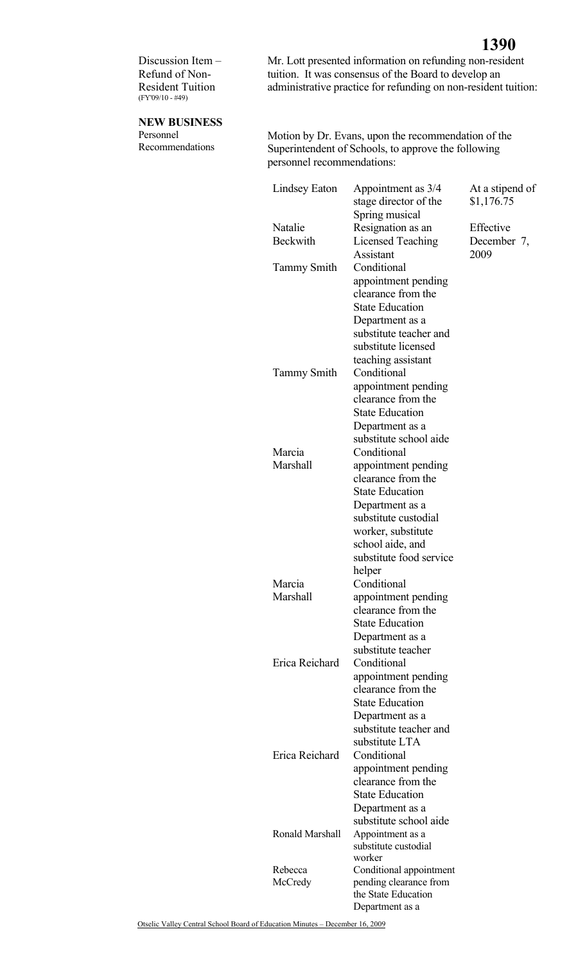Discussion Item – Refund of Non-Resident Tuition (FY'09/10 - #49)

Mr. Lott presented information on refunding non-resident tuition. It was consensus of the Board to develop an administrative practice for refunding on non-resident tuition:

# **NEW BUSINESS**

Personnel Recommendations Motion by Dr. Evans, upon the recommendation of the Superintendent of Schools, to approve the following personnel recommendations:

|  | Lindsey Eaton              | Appointment as 3/4<br>stage director of the<br>Spring musical | At a stipend of<br>\$1,176.75 |
|--|----------------------------|---------------------------------------------------------------|-------------------------------|
|  | Natalie<br><b>Beckwith</b> | Resignation as an                                             | Effective                     |
|  |                            | Licensed Teaching<br>Assistant                                | December 7,<br>2009           |
|  | <b>Tammy Smith</b>         | Conditional                                                   |                               |
|  |                            | appointment pending<br>clearance from the                     |                               |
|  |                            | <b>State Education</b>                                        |                               |
|  |                            | Department as a                                               |                               |
|  |                            | substitute teacher and                                        |                               |
|  |                            | substitute licensed                                           |                               |
|  |                            | teaching assistant                                            |                               |
|  | <b>Tammy Smith</b>         | Conditional<br>appointment pending                            |                               |
|  |                            | clearance from the                                            |                               |
|  |                            | <b>State Education</b>                                        |                               |
|  |                            | Department as a                                               |                               |
|  |                            | substitute school aide                                        |                               |
|  | Marcia                     | Conditional                                                   |                               |
|  | <b>Marshall</b>            | appointment pending<br>clearance from the                     |                               |
|  |                            | <b>State Education</b>                                        |                               |
|  |                            | Department as a                                               |                               |
|  |                            | substitute custodial                                          |                               |
|  |                            | worker, substitute                                            |                               |
|  |                            | school aide, and                                              |                               |
|  |                            | substitute food service                                       |                               |
|  | Marcia                     | helper<br>Conditional                                         |                               |
|  | Marshall                   | appointment pending                                           |                               |
|  |                            | clearance from the                                            |                               |
|  |                            | <b>State Education</b>                                        |                               |
|  |                            | Department as a                                               |                               |
|  | Erica Reichard             | substitute teacher<br>Conditional                             |                               |
|  |                            | appointment pending                                           |                               |
|  |                            | clearance from the                                            |                               |
|  |                            | <b>State Education</b>                                        |                               |
|  |                            | Department as a                                               |                               |
|  |                            | substitute teacher and                                        |                               |
|  |                            | substitute LTA<br>Conditional                                 |                               |
|  | Erica Reichard             | appointment pending                                           |                               |
|  |                            | clearance from the                                            |                               |
|  |                            | <b>State Education</b>                                        |                               |
|  |                            | Department as a                                               |                               |
|  |                            | substitute school aide                                        |                               |
|  | Ronald Marshall            | Appointment as a<br>substitute custodial                      |                               |
|  |                            | worker                                                        |                               |
|  | Rebecca                    | Conditional appointment                                       |                               |
|  | McCredy                    | pending clearance from                                        |                               |
|  |                            | the State Education<br>Department as a                        |                               |
|  |                            |                                                               |                               |